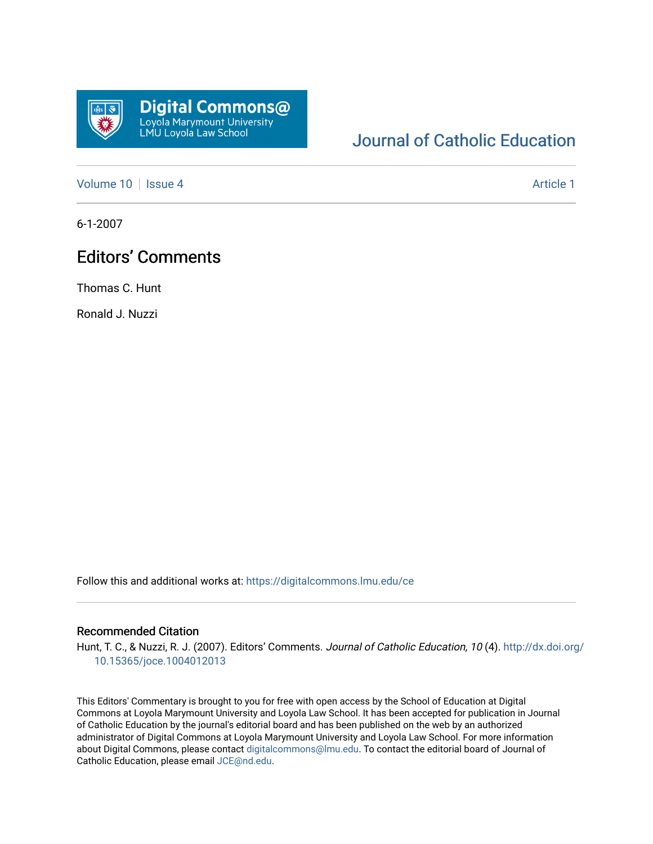

## [Journal of Catholic Education](https://digitalcommons.lmu.edu/ce)

[Volume 10](https://digitalcommons.lmu.edu/ce/vol10) | [Issue 4](https://digitalcommons.lmu.edu/ce/vol10/iss4) Article 1

6-1-2007

## Editors' Comments

Thomas C. Hunt

Ronald J. Nuzzi

Follow this and additional works at: [https://digitalcommons.lmu.edu/ce](https://digitalcommons.lmu.edu/ce?utm_source=digitalcommons.lmu.edu%2Fce%2Fvol10%2Fiss4%2F1&utm_medium=PDF&utm_campaign=PDFCoverPages)

## Recommended Citation

Hunt, T. C., & Nuzzi, R. J. (2007). Editors' Comments. Journal of Catholic Education, 10 (4). [http://dx.doi.org/](http://dx.doi.org/10.15365/joce.1004012013) [10.15365/joce.1004012013](http://dx.doi.org/10.15365/joce.1004012013) 

This Editors' Commentary is brought to you for free with open access by the School of Education at Digital Commons at Loyola Marymount University and Loyola Law School. It has been accepted for publication in Journal of Catholic Education by the journal's editorial board and has been published on the web by an authorized administrator of Digital Commons at Loyola Marymount University and Loyola Law School. For more information about Digital Commons, please contact [digitalcommons@lmu.edu](mailto:digitalcommons@lmu.edu). To contact the editorial board of Journal of Catholic Education, please email [JCE@nd.edu.](mailto:JCE@nd.edu)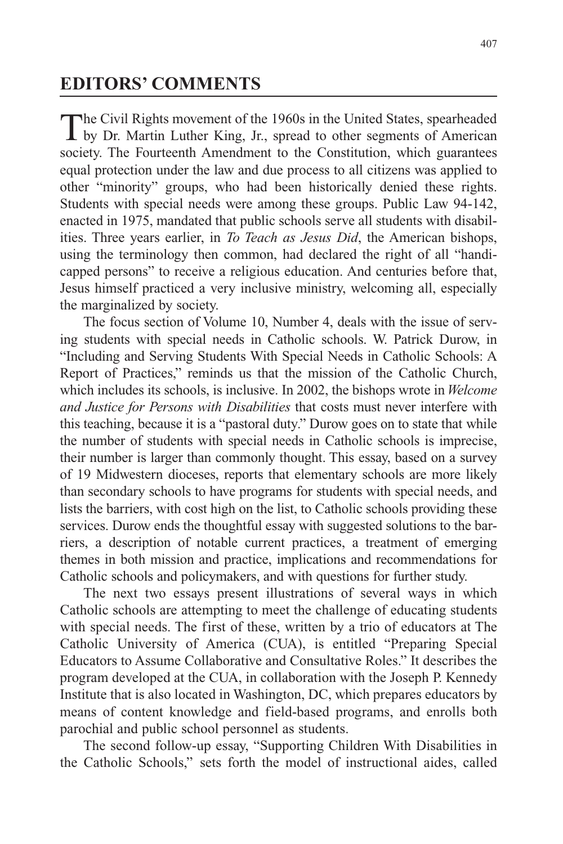## **EDITORS' COMMENTS**

The Civil Rights movement of the 1960s in the United States, spearheaded<br>by Dr. Martin Luther King, Jr., spread to other segments of American society. The Fourteenth Amendment to the Constitution, which guarantees equal protection under the law and due process to all citizens was applied to other "minority" groups, who had been historically denied these rights. Students with special needs were among these groups. Public Law 94-142, enacted in 1975, mandated that public schools serve all students with disabilities. Three years earlier, in *To Teach as Jesus Did*, the American bishops, using the terminology then common, had declared the right of all "handicapped persons" to receive a religious education. And centuries before that, Jesus himself practiced a very inclusive ministry, welcoming all, especially the marginalized by society.

The focus section of Volume 10, Number 4, deals with the issue of serving students with special needs in Catholic schools. W. Patrick Durow, in "Including and Serving Students With Special Needs in Catholic Schools: A Report of Practices," reminds us that the mission of the Catholic Church, which includes its schools, is inclusive. In 2002, the bishops wrote in *Welcome and Justice for Persons with Disabilities* that costs must never interfere with this teaching, because it is a "pastoral duty." Durow goes on to state that while the number of students with special needs in Catholic schools is imprecise, their number is larger than commonly thought. This essay, based on a survey of 19 Midwestern dioceses, reports that elementary schools are more likely than secondary schools to have programs for students with special needs, and lists the barriers, with cost high on the list, to Catholic schools providing these services. Durow ends the thoughtful essay with suggested solutions to the barriers, a description of notable current practices, a treatment of emerging themes in both mission and practice, implications and recommendations for Catholic schools and policymakers, and with questions for further study.

The next two essays present illustrations of several ways in which Catholic schools are attempting to meet the challenge of educating students with special needs. The first of these, written by a trio of educators at The Catholic University of America (CUA), is entitled "Preparing Special Educators to Assume Collaborative and Consultative Roles." It describes the program developed at the CUA, in collaboration with the Joseph P. Kennedy Institute that is also located in Washington, DC, which prepares educators by means of content knowledge and field-based programs, and enrolls both parochial and public school personnel as students.

The second follow-up essay, "Supporting Children With Disabilities in the Catholic Schools," sets forth the model of instructional aides, called